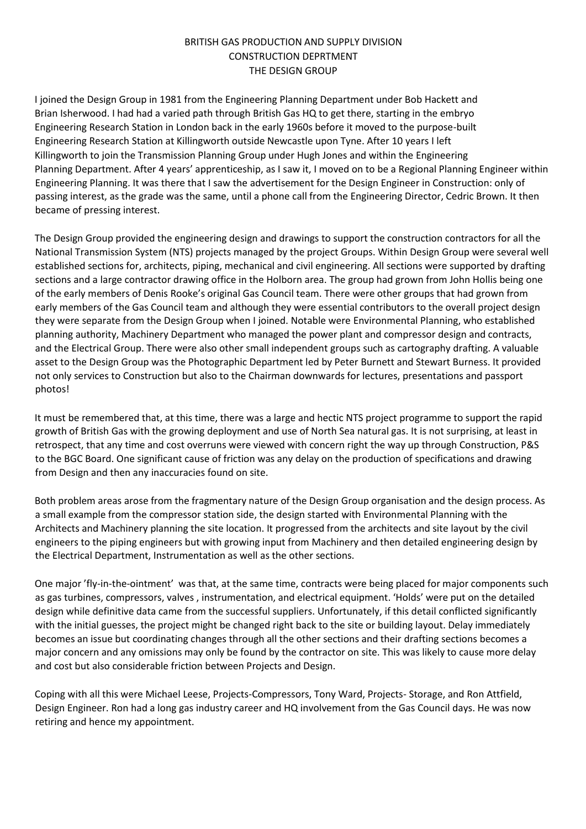## BRITISH GAS PRODUCTION AND SUPPLY DIVISION CONSTRUCTION DEPRTMENT THE DESIGN GROUP

I joined the Design Group in 1981 from the Engineering Planning Department under Bob Hackett and Brian Isherwood. I had had a varied path through British Gas HQ to get there, starting in the embryo Engineering Research Station in London back in the early 1960s before it moved to the purpose-built Engineering Research Station at Killingworth outside Newcastle upon Tyne. After 10 years I left Killingworth to join the Transmission Planning Group under Hugh Jones and within the Engineering Planning Department. After 4 years' apprenticeship, as I saw it, I moved on to be a Regional Planning Engineer within Engineering Planning. It was there that I saw the advertisement for the Design Engineer in Construction: only of passing interest, as the grade was the same, until a phone call from the Engineering Director, Cedric Brown. It then became of pressing interest.

The Design Group provided the engineering design and drawings to support the construction contractors for all the National Transmission System (NTS) projects managed by the project Groups. Within Design Group were several well established sections for, architects, piping, mechanical and civil engineering. All sections were supported by drafting sections and a large contractor drawing office in the Holborn area. The group had grown from John Hollis being one of the early members of Denis Rooke's original Gas Council team. There were other groups that had grown from early members of the Gas Council team and although they were essential contributors to the overall project design they were separate from the Design Group when I joined. Notable were Environmental Planning, who established planning authority, Machinery Department who managed the power plant and compressor design and contracts, and the Electrical Group. There were also other small independent groups such as cartography drafting. A valuable asset to the Design Group was the Photographic Department led by Peter Burnett and Stewart Burness. It provided not only services to Construction but also to the Chairman downwards for lectures, presentations and passport photos!

It must be remembered that, at this time, there was a large and hectic NTS project programme to support the rapid growth of British Gas with the growing deployment and use of North Sea natural gas. It is not surprising, at least in retrospect, that any time and cost overruns were viewed with concern right the way up through Construction, P&S to the BGC Board. One significant cause of friction was any delay on the production of specifications and drawing from Design and then any inaccuracies found on site.

Both problem areas arose from the fragmentary nature of the Design Group organisation and the design process. As a small example from the compressor station side, the design started with Environmental Planning with the Architects and Machinery planning the site location. It progressed from the architects and site layout by the civil engineers to the piping engineers but with growing input from Machinery and then detailed engineering design by the Electrical Department, Instrumentation as well as the other sections.

One major 'fly-in-the-ointment' was that, at the same time, contracts were being placed for major components such as gas turbines, compressors, valves , instrumentation, and electrical equipment. 'Holds' were put on the detailed design while definitive data came from the successful suppliers. Unfortunately, if this detail conflicted significantly with the initial guesses, the project might be changed right back to the site or building layout. Delay immediately becomes an issue but coordinating changes through all the other sections and their drafting sections becomes a major concern and any omissions may only be found by the contractor on site. This was likely to cause more delay and cost but also considerable friction between Projects and Design.

Coping with all this were Michael Leese, Projects-Compressors, Tony Ward, Projects- Storage, and Ron Attfield, Design Engineer. Ron had a long gas industry career and HQ involvement from the Gas Council days. He was now retiring and hence my appointment.